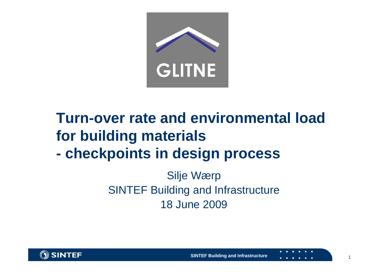

## **Turn-over rate and environmental load for building materials - checkpoints in design process**

Silje Wærp SINTEF Building and Infrastructure 18 June 2009



**SINTEF Building and Infrastructure 1 1 1 1 1 1 1**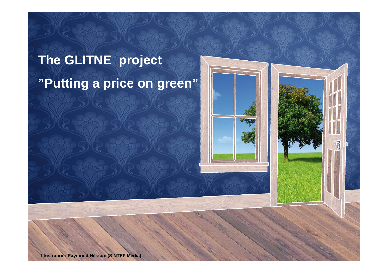## **The GLITNE project "Putting a price on green"**



**SINTEF Building and Infrastructure** <sup>2</sup>

**Illustration: Raymond Nilsson (SINTEF Media)**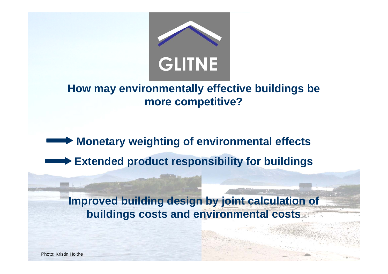

### **How may environmentally effective buildings be more competitive?**

**Monetary weighting of environmental effects Extended product responsibility for buildings**

**Improved building design by joint calculation of buildings costs and environmental costs**

SINTEF BUILDING AND INFORMATION OF THE BUILDING AND INFORMATION OF THE BUILDING AND INFORMATION OF THE BUILDING AND INFORMATION OF THE BUILDING OF THE BUILDING OF THE BUILDING OF THE BUILDING OF THE BUILDING OF THE BUILDIN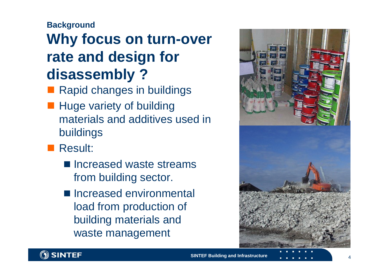#### **Background**

## **Why focus on turn-over rate and design for disassembly ?**

- Rapid changes in buildings
- **Huge variety of building** materials and additives used in buildings

**Result:** 

- Increased waste streams from building sector.
- Increased environmental load from production of building materials and waste management



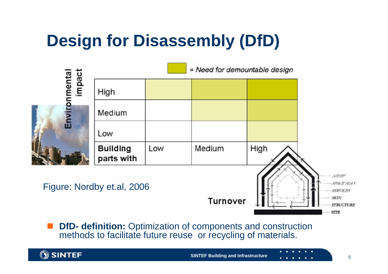# **Design for Disassembly (DfD)**



 **DfD- definition:** Optimization of components and construction methods to facilitate future reuse or recycling of materials.

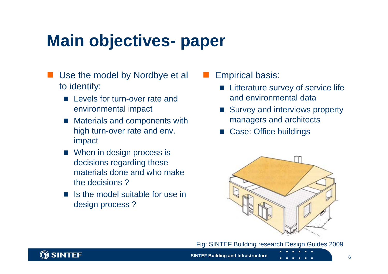## **Main objectives- paper**

- Use the model by Nordbye et al to identify:
	- Levels for turn-over rate and environmental impact
	- $\overline{\phantom{a}}$  Materials and components with high turn-over rate and env. impact
	- When in design process is decisions regarding these materials done and who make the decisions ?
	- Is the model suitable for use in design process ?
- $\mathbb{R}^2$  Empirical basis:
	- Litterature survey of service life and environmental data
	- Survey and interviews property managers and architects
	- Case: Office buildings



Fig: SINTEF Building research Design Guides 2009



**SINTEF Building and Infrastructure 10 and 10 and 10 and 10 and 10 and 10 and 10 and 10 and 10 and 10 and 10 and 10 and 10 and 10 and 10 and 10 and 10 and 10 and 10 and 10 and 10 and 10 and 10 and 10 and 10 and 10 and 10**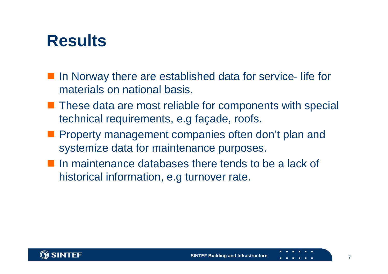## **Results**

- In Norway there are established data for service- life for materials on national basis.
- **These data are most reliable for components with special** technical requirements, e.g façade, roofs.
- **Property management companies often don't plan and** systemize data for maintenance purposes.
- $\blacksquare$  In maintenance databases there tends to be a lack of historical information, e.g turnover rate.

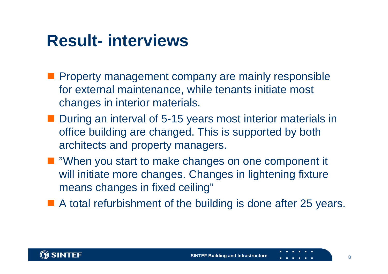## **Result- interviews**

- **Property management company are mainly responsible** for external maintenance, while tenants initiate most changes in interior materials.
- During an interval of 5-15 years most interior materials in office building are changed. This is supported by both architects and property managers.
- "When you start to make changes on one component it will initiate more changes. Changes in lightening fixture means changes in fixed ceiling"
- A total refurbishment of the building is done after 25 years.

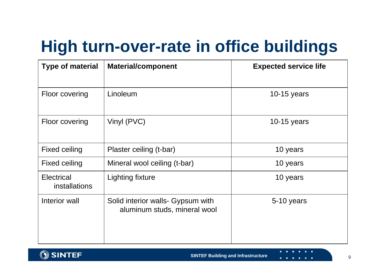# **High turn-over-rate in office buildings**

| <b>Type of material</b>                   | <b>Material/component</b>                                         | <b>Expected service life</b> |
|-------------------------------------------|-------------------------------------------------------------------|------------------------------|
| Floor covering                            | Linoleum                                                          | 10-15 years                  |
| Floor covering                            | Vinyl (PVC)                                                       | 10-15 years                  |
| <b>Fixed ceiling</b>                      | Plaster ceiling (t-bar)                                           | 10 years                     |
| <b>Fixed ceiling</b>                      | Mineral wool ceiling (t-bar)                                      | 10 years                     |
| <b>Electrical</b><br><i>installations</i> | Lighting fixture                                                  | 10 years                     |
| Interior wall                             | Solid interior walls- Gypsum with<br>aluminum studs, mineral wool | 5-10 years                   |

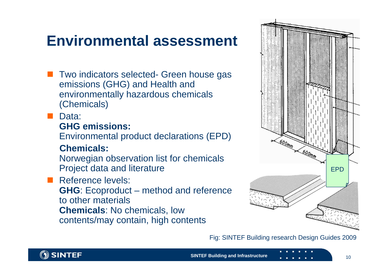### **Environmental assessment**

**The Two indicators selected- Green house gas** emissions (GHG) and Health and environmentally hazardous chemicals (Chemicals)

■ Data: **GHG emissions:** 

Environmental product declarations (EPD)

### **Chemicals:**

Norwegian observation list for chemicals Project data and literature

 Reference levels: **GHG**: Ecoproduct – method and reference to other materials **Chemicals**: No chemicals, low contents/may contain, high contents



#### Fig: SINTEF Building research Design Guides 2009

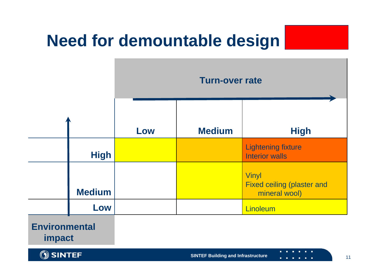## **Need for demountable design**



#### **Environmental impact**

SINTEF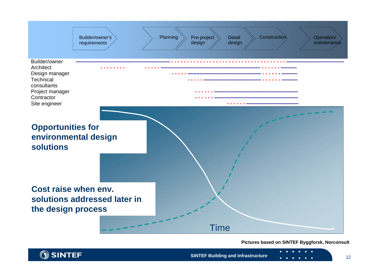

#### **Pictures based on SINTEF Byggforsk, Norconsult**

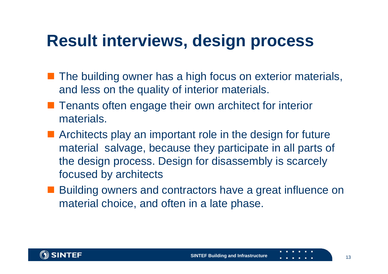## **Result interviews, design process**

- **The building owner has a high focus on exterior materials,** and less on the quality of interior materials.
- **Tenants often engage their own architect for interior** materials.
- **EXT** Architects play an important role in the design for future material salvage, because they participate in all parts of the design process. Design for disassembly is scarcely focused by architects
- Building owners and contractors have a great influence on material choice, and often in a late phase.

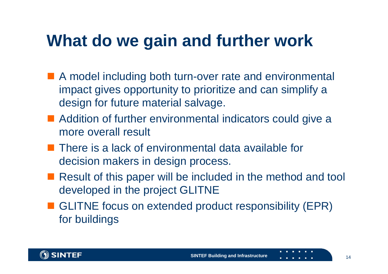## **What do we gain and further work**

- A model including both turn-over rate and environmental impact gives opportunity to prioritize and can simplify a design for future material salvage.
- Addition of further environmental indicators could give a more overall result
- **There is a lack of environmental data available for** decision makers in design process.
- Result of this paper will be included in the method and tool developed in the project GLITNE
- GLITNE focus on extended product responsibility (EPR) for buildings